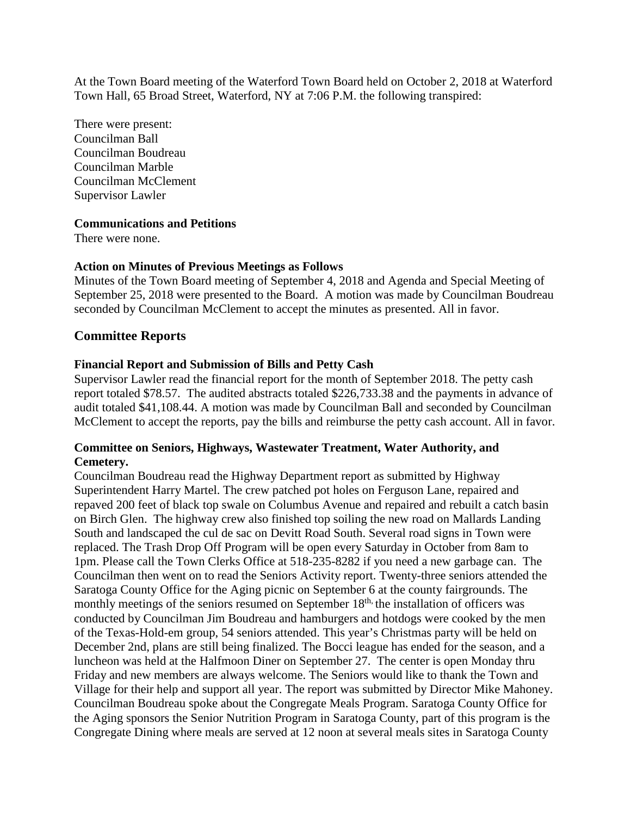At the Town Board meeting of the Waterford Town Board held on October 2, 2018 at Waterford Town Hall, 65 Broad Street, Waterford, NY at 7:06 P.M. the following transpired:

There were present: Councilman Ball Councilman Boudreau Councilman Marble Councilman McClement Supervisor Lawler

# **Communications and Petitions**

There were none.

# **Action on Minutes of Previous Meetings as Follows**

Minutes of the Town Board meeting of September 4, 2018 and Agenda and Special Meeting of September 25, 2018 were presented to the Board. A motion was made by Councilman Boudreau seconded by Councilman McClement to accept the minutes as presented. All in favor.

# **Committee Reports**

#### **Financial Report and Submission of Bills and Petty Cash**

Supervisor Lawler read the financial report for the month of September 2018. The petty cash report totaled \$78.57. The audited abstracts totaled \$226,733.38 and the payments in advance of audit totaled \$41,108.44. A motion was made by Councilman Ball and seconded by Councilman McClement to accept the reports, pay the bills and reimburse the petty cash account. All in favor.

# **Committee on Seniors, Highways, Wastewater Treatment, Water Authority, and Cemetery.**

Councilman Boudreau read the Highway Department report as submitted by Highway Superintendent Harry Martel. The crew patched pot holes on Ferguson Lane, repaired and repaved 200 feet of black top swale on Columbus Avenue and repaired and rebuilt a catch basin on Birch Glen. The highway crew also finished top soiling the new road on Mallards Landing South and landscaped the cul de sac on Devitt Road South. Several road signs in Town were replaced. The Trash Drop Off Program will be open every Saturday in October from 8am to 1pm. Please call the Town Clerks Office at 518-235-8282 if you need a new garbage can. The Councilman then went on to read the Seniors Activity report. Twenty-three seniors attended the Saratoga County Office for the Aging picnic on September 6 at the county fairgrounds. The monthly meetings of the seniors resumed on September 18<sup>th,</sup> the installation of officers was conducted by Councilman Jim Boudreau and hamburgers and hotdogs were cooked by the men of the Texas-Hold-em group, 54 seniors attended. This year's Christmas party will be held on December 2nd, plans are still being finalized. The Bocci league has ended for the season, and a luncheon was held at the Halfmoon Diner on September 27. The center is open Monday thru Friday and new members are always welcome. The Seniors would like to thank the Town and Village for their help and support all year. The report was submitted by Director Mike Mahoney. Councilman Boudreau spoke about the Congregate Meals Program. Saratoga County Office for the Aging sponsors the Senior Nutrition Program in Saratoga County, part of this program is the Congregate Dining where meals are served at 12 noon at several meals sites in Saratoga County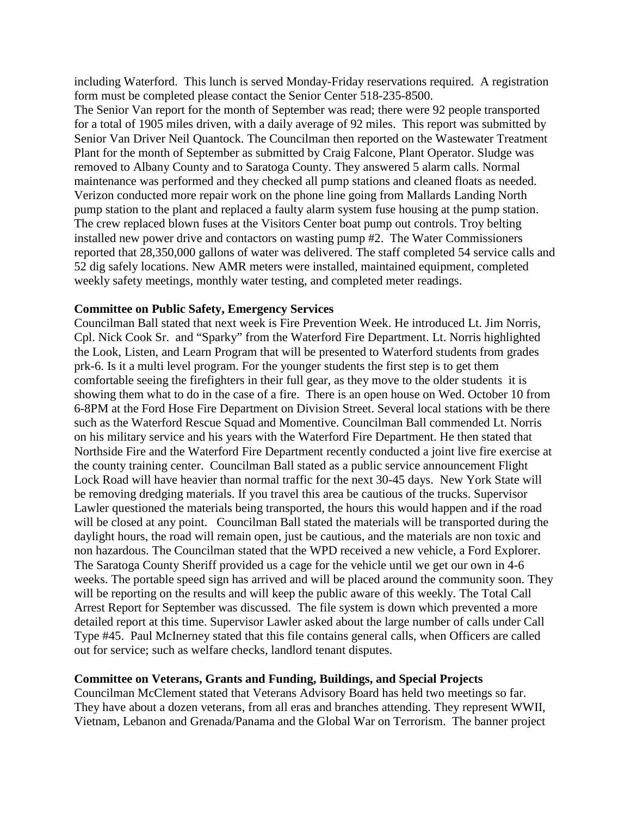including Waterford. This lunch is served Monday-Friday reservations required. A registration form must be completed please contact the Senior Center 518-235-8500.

The Senior Van report for the month of September was read; there were 92 people transported for a total of 1905 miles driven, with a daily average of 92 miles. This report was submitted by Senior Van Driver Neil Quantock. The Councilman then reported on the Wastewater Treatment Plant for the month of September as submitted by Craig Falcone, Plant Operator. Sludge was removed to Albany County and to Saratoga County. They answered 5 alarm calls. Normal maintenance was performed and they checked all pump stations and cleaned floats as needed. Verizon conducted more repair work on the phone line going from Mallards Landing North pump station to the plant and replaced a faulty alarm system fuse housing at the pump station. The crew replaced blown fuses at the Visitors Center boat pump out controls. Troy belting installed new power drive and contactors on wasting pump #2. The Water Commissioners reported that 28,350,000 gallons of water was delivered. The staff completed 54 service calls and 52 dig safely locations. New AMR meters were installed, maintained equipment, completed weekly safety meetings, monthly water testing, and completed meter readings.

#### **Committee on Public Safety, Emergency Services**

Councilman Ball stated that next week is Fire Prevention Week. He introduced Lt. Jim Norris, Cpl. Nick Cook Sr. and "Sparky" from the Waterford Fire Department. Lt. Norris highlighted the Look, Listen, and Learn Program that will be presented to Waterford students from grades prk-6. Is it a multi level program. For the younger students the first step is to get them comfortable seeing the firefighters in their full gear, as they move to the older students it is showing them what to do in the case of a fire. There is an open house on Wed. October 10 from 6-8PM at the Ford Hose Fire Department on Division Street. Several local stations with be there such as the Waterford Rescue Squad and Momentive. Councilman Ball commended Lt. Norris on his military service and his years with the Waterford Fire Department. He then stated that Northside Fire and the Waterford Fire Department recently conducted a joint live fire exercise at the county training center. Councilman Ball stated as a public service announcement Flight Lock Road will have heavier than normal traffic for the next 30-45 days. New York State will be removing dredging materials. If you travel this area be cautious of the trucks. Supervisor Lawler questioned the materials being transported, the hours this would happen and if the road will be closed at any point. Councilman Ball stated the materials will be transported during the daylight hours, the road will remain open, just be cautious, and the materials are non toxic and non hazardous. The Councilman stated that the WPD received a new vehicle, a Ford Explorer. The Saratoga County Sheriff provided us a cage for the vehicle until we get our own in 4-6 weeks. The portable speed sign has arrived and will be placed around the community soon. They will be reporting on the results and will keep the public aware of this weekly. The Total Call Arrest Report for September was discussed. The file system is down which prevented a more detailed report at this time. Supervisor Lawler asked about the large number of calls under Call Type #45. Paul McInerney stated that this file contains general calls, when Officers are called out for service; such as welfare checks, landlord tenant disputes.

#### **Committee on Veterans, Grants and Funding, Buildings, and Special Projects**

Councilman McClement stated that Veterans Advisory Board has held two meetings so far. They have about a dozen veterans, from all eras and branches attending. They represent WWII, Vietnam, Lebanon and Grenada/Panama and the Global War on Terrorism. The banner project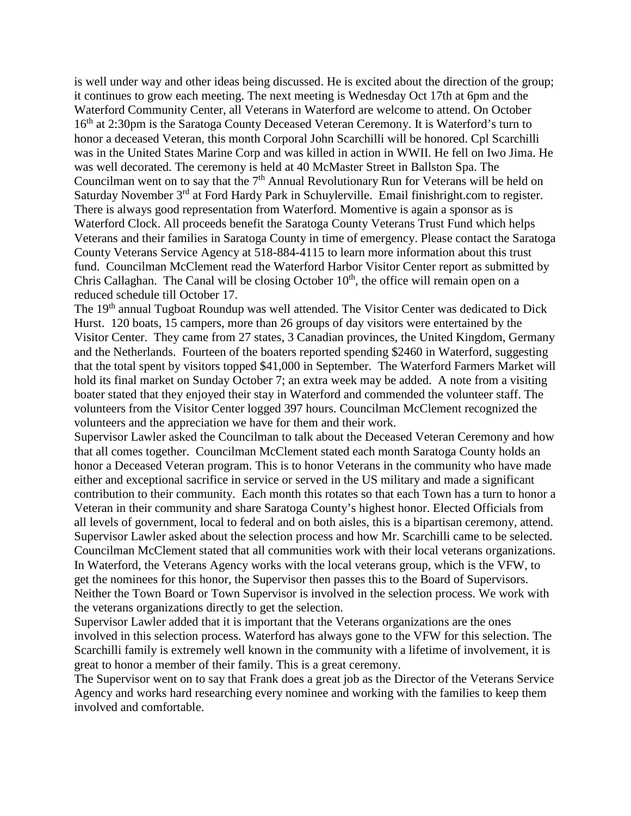is well under way and other ideas being discussed. He is excited about the direction of the group; it continues to grow each meeting. The next meeting is Wednesday Oct 17th at 6pm and the Waterford Community Center, all Veterans in Waterford are welcome to attend. On October 16th at 2:30pm is the Saratoga County Deceased Veteran Ceremony. It is Waterford's turn to honor a deceased Veteran, this month Corporal John Scarchilli will be honored. Cpl Scarchilli was in the United States Marine Corp and was killed in action in WWII. He fell on Iwo Jima. He was well decorated. The ceremony is held at 40 McMaster Street in Ballston Spa. The Councilman went on to say that the  $7<sup>th</sup>$  Annual Revolutionary Run for Veterans will be held on Saturday November 3<sup>rd</sup> at Ford Hardy Park in Schuylerville. Email finishright.com to register. There is always good representation from Waterford. Momentive is again a sponsor as is Waterford Clock. All proceeds benefit the Saratoga County Veterans Trust Fund which helps Veterans and their families in Saratoga County in time of emergency. Please contact the Saratoga County Veterans Service Agency at 518-884-4115 to learn more information about this trust fund. Councilman McClement read the Waterford Harbor Visitor Center report as submitted by Chris Callaghan. The Canal will be closing October  $10<sup>th</sup>$ , the office will remain open on a reduced schedule till October 17.

The 19<sup>th</sup> annual Tugboat Roundup was well attended. The Visitor Center was dedicated to Dick Hurst. 120 boats, 15 campers, more than 26 groups of day visitors were entertained by the Visitor Center. They came from 27 states, 3 Canadian provinces, the United Kingdom, Germany and the Netherlands. Fourteen of the boaters reported spending \$2460 in Waterford, suggesting that the total spent by visitors topped \$41,000 in September. The Waterford Farmers Market will hold its final market on Sunday October 7; an extra week may be added. A note from a visiting boater stated that they enjoyed their stay in Waterford and commended the volunteer staff. The volunteers from the Visitor Center logged 397 hours. Councilman McClement recognized the volunteers and the appreciation we have for them and their work.

Supervisor Lawler asked the Councilman to talk about the Deceased Veteran Ceremony and how that all comes together. Councilman McClement stated each month Saratoga County holds an honor a Deceased Veteran program. This is to honor Veterans in the community who have made either and exceptional sacrifice in service or served in the US military and made a significant contribution to their community. Each month this rotates so that each Town has a turn to honor a Veteran in their community and share Saratoga County's highest honor. Elected Officials from all levels of government, local to federal and on both aisles, this is a bipartisan ceremony, attend. Supervisor Lawler asked about the selection process and how Mr. Scarchilli came to be selected. Councilman McClement stated that all communities work with their local veterans organizations. In Waterford, the Veterans Agency works with the local veterans group, which is the VFW, to get the nominees for this honor, the Supervisor then passes this to the Board of Supervisors. Neither the Town Board or Town Supervisor is involved in the selection process. We work with the veterans organizations directly to get the selection.

Supervisor Lawler added that it is important that the Veterans organizations are the ones involved in this selection process. Waterford has always gone to the VFW for this selection. The Scarchilli family is extremely well known in the community with a lifetime of involvement, it is great to honor a member of their family. This is a great ceremony.

The Supervisor went on to say that Frank does a great job as the Director of the Veterans Service Agency and works hard researching every nominee and working with the families to keep them involved and comfortable.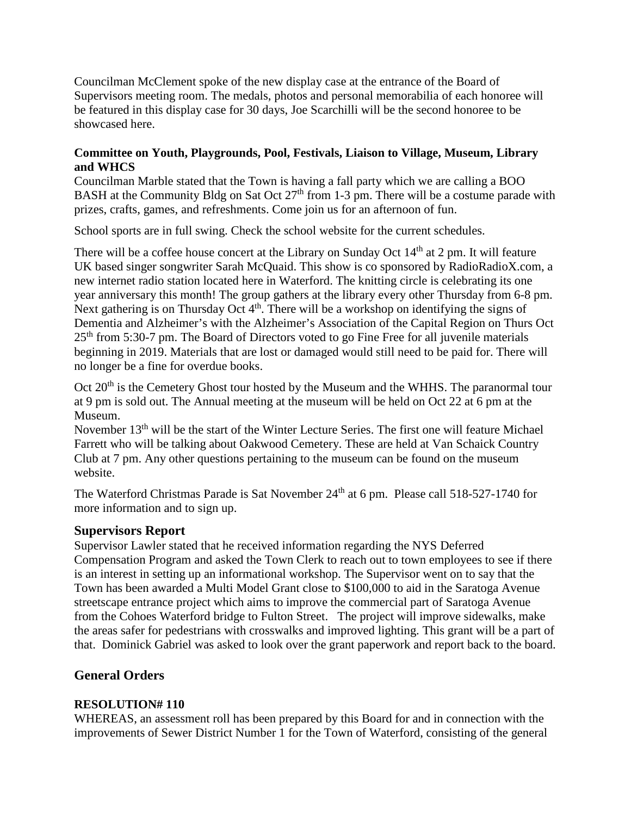Councilman McClement spoke of the new display case at the entrance of the Board of Supervisors meeting room. The medals, photos and personal memorabilia of each honoree will be featured in this display case for 30 days, Joe Scarchilli will be the second honoree to be showcased here.

# **Committee on Youth, Playgrounds, Pool, Festivals, Liaison to Village, Museum, Library and WHCS**

Councilman Marble stated that the Town is having a fall party which we are calling a BOO BASH at the Community Bldg on Sat Oct  $27<sup>th</sup>$  from 1-3 pm. There will be a costume parade with prizes, crafts, games, and refreshments. Come join us for an afternoon of fun.

School sports are in full swing. Check the school website for the current schedules.

There will be a coffee house concert at the Library on Sunday Oct 14<sup>th</sup> at 2 pm. It will feature UK based singer songwriter Sarah McQuaid. This show is co sponsored by RadioRadioX.com, a new internet radio station located here in Waterford. The knitting circle is celebrating its one year anniversary this month! The group gathers at the library every other Thursday from 6-8 pm. Next gathering is on Thursday Oct  $4<sup>th</sup>$ . There will be a workshop on identifying the signs of Dementia and Alzheimer's with the Alzheimer's Association of the Capital Region on Thurs Oct 25th from 5:30-7 pm. The Board of Directors voted to go Fine Free for all juvenile materials beginning in 2019. Materials that are lost or damaged would still need to be paid for. There will no longer be a fine for overdue books.

Oct 20<sup>th</sup> is the Cemetery Ghost tour hosted by the Museum and the WHHS. The paranormal tour at 9 pm is sold out. The Annual meeting at the museum will be held on Oct 22 at 6 pm at the Museum.

November 13<sup>th</sup> will be the start of the Winter Lecture Series. The first one will feature Michael Farrett who will be talking about Oakwood Cemetery. These are held at Van Schaick Country Club at 7 pm. Any other questions pertaining to the museum can be found on the museum website.

The Waterford Christmas Parade is Sat November 24<sup>th</sup> at 6 pm. Please call 518-527-1740 for more information and to sign up.

# **Supervisors Report**

Supervisor Lawler stated that he received information regarding the NYS Deferred Compensation Program and asked the Town Clerk to reach out to town employees to see if there is an interest in setting up an informational workshop. The Supervisor went on to say that the Town has been awarded a Multi Model Grant close to \$100,000 to aid in the Saratoga Avenue streetscape entrance project which aims to improve the commercial part of Saratoga Avenue from the Cohoes Waterford bridge to Fulton Street. The project will improve sidewalks, make the areas safer for pedestrians with crosswalks and improved lighting. This grant will be a part of that. Dominick Gabriel was asked to look over the grant paperwork and report back to the board.

# **General Orders**

# **RESOLUTION# 110**

WHEREAS, an assessment roll has been prepared by this Board for and in connection with the improvements of Sewer District Number 1 for the Town of Waterford, consisting of the general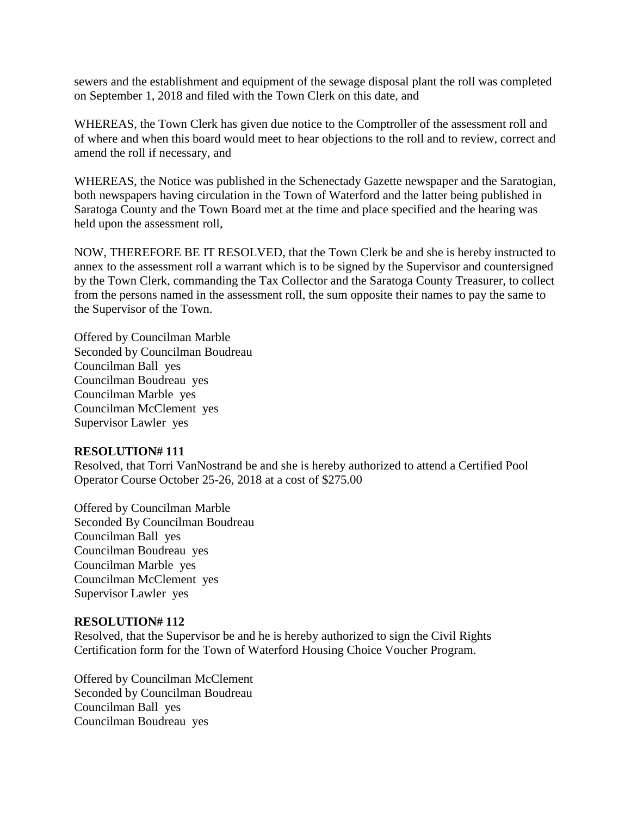sewers and the establishment and equipment of the sewage disposal plant the roll was completed on September 1, 2018 and filed with the Town Clerk on this date, and

WHEREAS, the Town Clerk has given due notice to the Comptroller of the assessment roll and of where and when this board would meet to hear objections to the roll and to review, correct and amend the roll if necessary, and

WHEREAS, the Notice was published in the Schenectady Gazette newspaper and the Saratogian, both newspapers having circulation in the Town of Waterford and the latter being published in Saratoga County and the Town Board met at the time and place specified and the hearing was held upon the assessment roll,

NOW, THEREFORE BE IT RESOLVED, that the Town Clerk be and she is hereby instructed to annex to the assessment roll a warrant which is to be signed by the Supervisor and countersigned by the Town Clerk, commanding the Tax Collector and the Saratoga County Treasurer, to collect from the persons named in the assessment roll, the sum opposite their names to pay the same to the Supervisor of the Town.

Offered by Councilman Marble Seconded by Councilman Boudreau Councilman Ball yes Councilman Boudreau yes Councilman Marble yes Councilman McClement yes Supervisor Lawler yes

# **RESOLUTION# 111**

Resolved, that Torri VanNostrand be and she is hereby authorized to attend a Certified Pool Operator Course October 25-26, 2018 at a cost of \$275.00

Offered by Councilman Marble Seconded By Councilman Boudreau Councilman Ball yes Councilman Boudreau yes Councilman Marble yes Councilman McClement yes Supervisor Lawler yes

#### **RESOLUTION# 112**

Resolved, that the Supervisor be and he is hereby authorized to sign the Civil Rights Certification form for the Town of Waterford Housing Choice Voucher Program.

Offered by Councilman McClement Seconded by Councilman Boudreau Councilman Ball yes Councilman Boudreau yes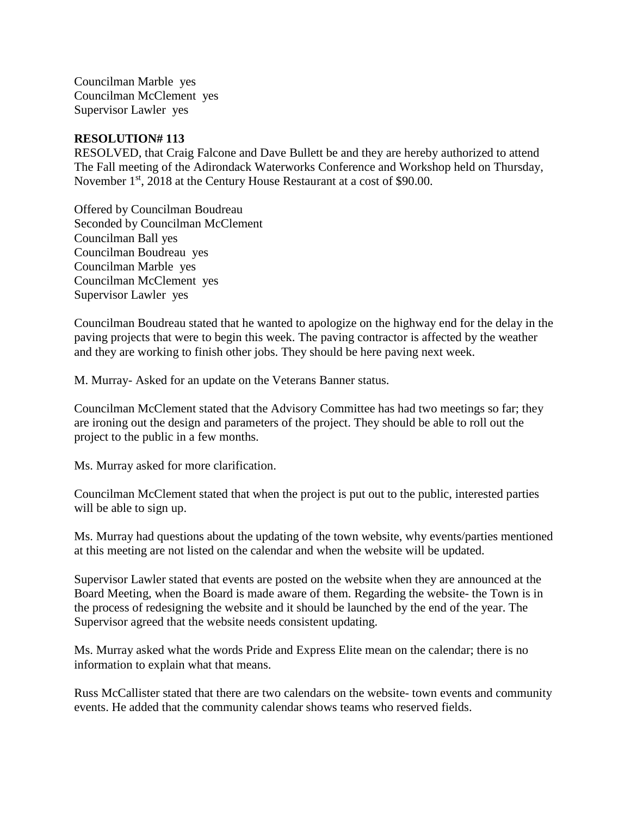Councilman Marble yes Councilman McClement yes Supervisor Lawler yes

### **RESOLUTION# 113**

RESOLVED, that Craig Falcone and Dave Bullett be and they are hereby authorized to attend The Fall meeting of the Adirondack Waterworks Conference and Workshop held on Thursday, November 1<sup>st</sup>, 2018 at the Century House Restaurant at a cost of \$90.00.

Offered by Councilman Boudreau Seconded by Councilman McClement Councilman Ball yes Councilman Boudreau yes Councilman Marble yes Councilman McClement yes Supervisor Lawler yes

Councilman Boudreau stated that he wanted to apologize on the highway end for the delay in the paving projects that were to begin this week. The paving contractor is affected by the weather and they are working to finish other jobs. They should be here paving next week.

M. Murray- Asked for an update on the Veterans Banner status.

Councilman McClement stated that the Advisory Committee has had two meetings so far; they are ironing out the design and parameters of the project. They should be able to roll out the project to the public in a few months.

Ms. Murray asked for more clarification.

Councilman McClement stated that when the project is put out to the public, interested parties will be able to sign up.

Ms. Murray had questions about the updating of the town website, why events/parties mentioned at this meeting are not listed on the calendar and when the website will be updated.

Supervisor Lawler stated that events are posted on the website when they are announced at the Board Meeting, when the Board is made aware of them. Regarding the website- the Town is in the process of redesigning the website and it should be launched by the end of the year. The Supervisor agreed that the website needs consistent updating.

Ms. Murray asked what the words Pride and Express Elite mean on the calendar; there is no information to explain what that means.

Russ McCallister stated that there are two calendars on the website- town events and community events. He added that the community calendar shows teams who reserved fields.